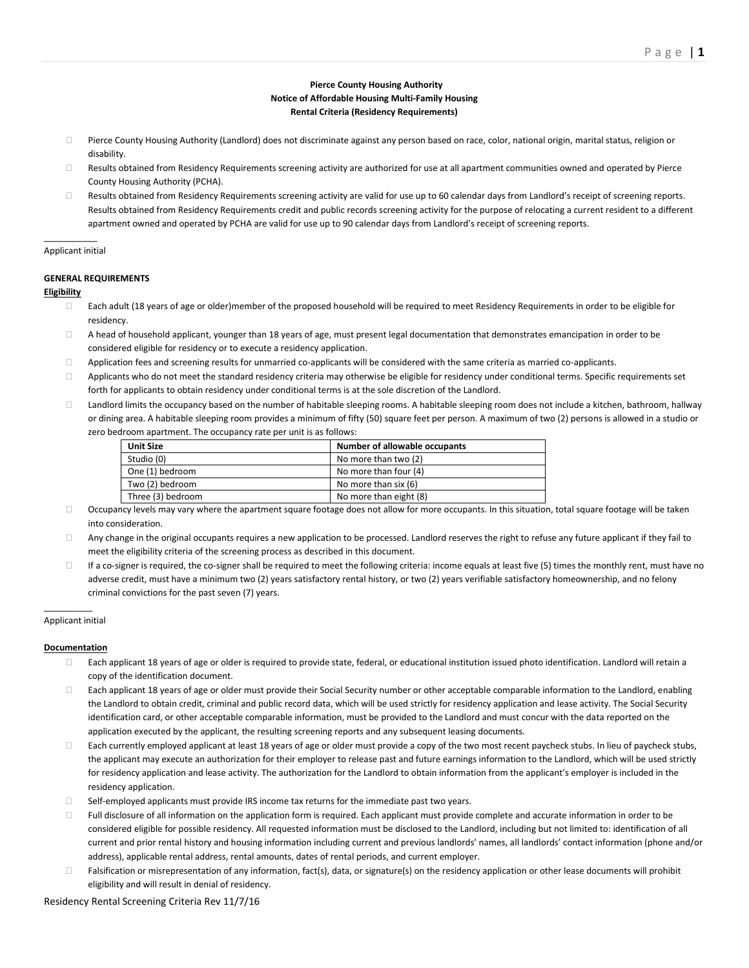# **Pierce County Housing Authority Notice of Affordable Housing Multi-Family Housing Rental Criteria (Residency Requirements)**

- □ Pierce County Housing Authority (Landlord) does not discriminate against any person based on race, color, national origin, marital status, religion or disability.
- $\Box$  Results obtained from Residency Requirements screening activity are authorized for use at all apartment communities owned and operated by Pierce County Housing Authority (PCHA).
- $\Box$  Results obtained from Residency Requirements screening activity are valid for use up to 60 calendar days from Landlord's receipt of screening reports. Results obtained from Residency Requirements credit and public records screening activity for the purpose of relocating a current resident to a different apartment owned and operated by PCHA are valid for use up to 90 calendar days from Landlord's receipt of screening reports.

## $\mathcal{L}=\mathcal{L}^{\mathcal{L}}$ Applicant initial

# **GENERAL REQUIREMENTS**

# **Eligibility**

- $\Box$  Each adult (18 years of age or older)member of the proposed household will be required to meet Residency Requirements in order to be eligible for residency.
- $\Box$  A head of household applicant, younger than 18 years of age, must present legal documentation that demonstrates emancipation in order to be considered eligible for residency or to execute a residency application.
- □ Application fees and screening results for unmarried co-applicants will be considered with the same criteria as married co-applicants.
- $\Box$  Applicants who do not meet the standard residency criteria may otherwise be eligible for residency under conditional terms. Specific requirements set forth for applicants to obtain residency under conditional terms is at the sole discretion of the Landlord.
- $\Box$  Landlord limits the occupancy based on the number of habitable sleeping rooms. A habitable sleeping room does not include a kitchen, bathroom, hallway or dining area. A habitable sleeping room provides a minimum of fifty (50) square feet per person. A maximum of two (2) persons is allowed in a studio or zero bedroom apartment. The occupancy rate per unit is as follows:

| <b>Unit Size</b>  | Number of allowable occupants |
|-------------------|-------------------------------|
| Studio (0)        | No more than two (2)          |
| One (1) bedroom   | No more than four (4)         |
| Two (2) bedroom   | No more than six (6)          |
| Three (3) bedroom | No more than eight (8)        |

- $\Box$  Occupancy levels may vary where the apartment square footage does not allow for more occupants. In this situation, total square footage will be taken into consideration.
- $\Box$  Any change in the original occupants requires a new application to be processed. Landlord reserves the right to refuse any future applicant if they fail to meet the eligibility criteria of the screening process as described in this document.
- $\Box$  If a co-signer is required, the co-signer shall be required to meet the following criteria: income equals at least five (5) times the monthly rent, must have no adverse credit, must have a minimum two (2) years satisfactory rental history, or two (2) years verifiable satisfactory homeownership, and no felony criminal convictions for the past seven (7) years.

## $\overline{\phantom{a}}$ Applicant initial

# **Documentation**

- $\Box$  Each applicant 18 years of age or older is required to provide state, federal, or educational institution issued photo identification. Landlord will retain a copy of the identification document.
- □ Each applicant 18 years of age or older must provide their Social Security number or other acceptable comparable information to the Landlord, enabling the Landlord to obtain credit, criminal and public record data, which will be used strictly for residency application and lease activity. The Social Security identification card, or other acceptable comparable information, must be provided to the Landlord and must concur with the data reported on the application executed by the applicant, the resulting screening reports and any subsequent leasing documents.
- $\Box$  Each currently employed applicant at least 18 years of age or older must provide a copy of the two most recent paycheck stubs. In lieu of paycheck stubs, the applicant may execute an authorization for their employer to release past and future earnings information to the Landlord, which will be used strictly for residency application and lease activity. The authorization for the Landlord to obtain information from the applicant's employer is included in the residency application.
- $\Box$  Self-employed applicants must provide IRS income tax returns for the immediate past two years.
- $\Box$  Full disclosure of all information on the application form is required. Each applicant must provide complete and accurate information in order to be considered eligible for possible residency. All requested information must be disclosed to the Landlord, including but not limited to: identification of all current and prior rental history and housing information including current and previous landlords' names, all landlords' contact information (phone and/or address), applicable rental address, rental amounts, dates of rental periods, and current employer.
- $\Box$  Falsification or misrepresentation of any information, fact(s), data, or signature(s) on the residency application or other lease documents will prohibit eligibility and will result in denial of residency.

# Residency Rental Screening Criteria Rev 11/7/16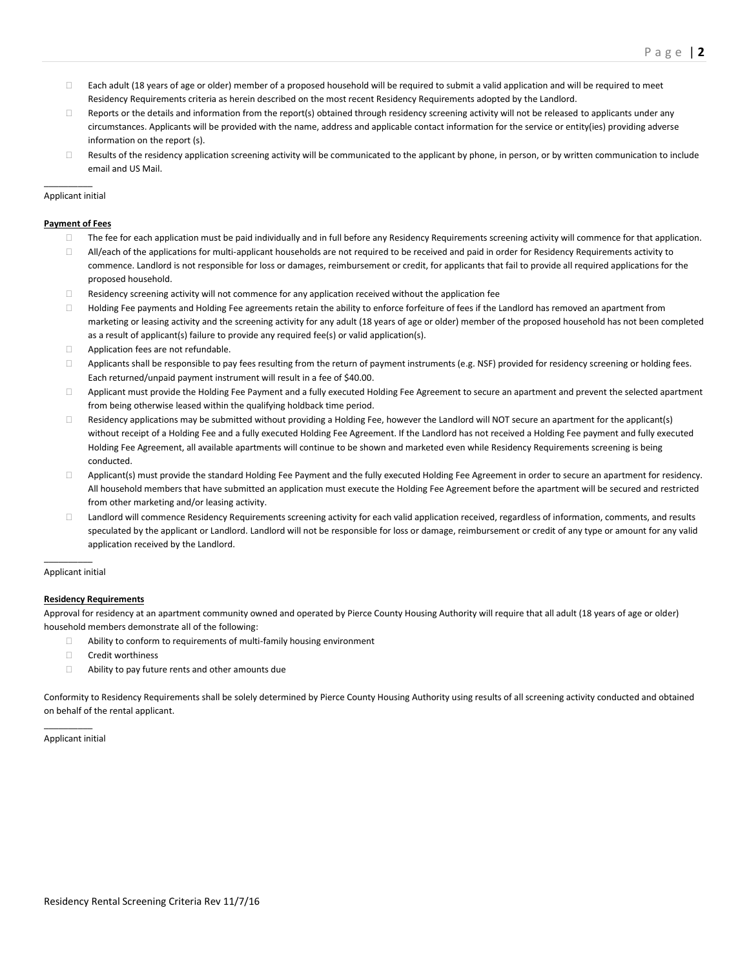- $\Box$  Each adult (18 years of age or older) member of a proposed household will be required to submit a valid application and will be required to meet Residency Requirements criteria as herein described on the most recent Residency Requirements adopted by the Landlord.
- $\Box$  Reports or the details and information from the report(s) obtained through residency screening activity will not be released to applicants under any circumstances. Applicants will be provided with the name, address and applicable contact information for the service or entity(ies) providing adverse information on the report (s).
- $\Box$  Results of the residency application screening activity will be communicated to the applicant by phone, in person, or by written communication to include email and US Mail.

### $\mathcal{L}=\mathcal{L}$ Applicant initial

#### **Payment of Fees**

- $\Box$  The fee for each application must be paid individually and in full before any Residency Requirements screening activity will commence for that application.
- $\Box$  All/each of the applications for multi-applicant households are not required to be received and paid in order for Residency Requirements activity to commence. Landlord is not responsible for loss or damages, reimbursement or credit, for applicants that fail to provide all required applications for the proposed household.
- $\Box$  Residency screening activity will not commence for any application received without the application fee
- □ Holding Fee payments and Holding Fee agreements retain the ability to enforce forfeiture of fees if the Landlord has removed an apartment from marketing or leasing activity and the screening activity for any adult (18 years of age or older) member of the proposed household has not been completed as a result of applicant(s) failure to provide any required fee(s) or valid application(s).
- **EXECUTE:** Application fees are not refundable.
- $\Box$  Applicants shall be responsible to pay fees resulting from the return of payment instruments (e.g. NSF) provided for residency screening or holding fees. Each returned/unpaid payment instrument will result in a fee of \$40.00.
- Applicant must provide the Holding Fee Payment and a fully executed Holding Fee Agreement to secure an apartment and prevent the selected apartment from being otherwise leased within the qualifying holdback time period.
- $\Box$  Residency applications may be submitted without providing a Holding Fee, however the Landlord will NOT secure an apartment for the applicant(s) without receipt of a Holding Fee and a fully executed Holding Fee Agreement. If the Landlord has not received a Holding Fee payment and fully executed Holding Fee Agreement, all available apartments will continue to be shown and marketed even while Residency Requirements screening is being conducted.
- □ Applicant(s) must provide the standard Holding Fee Payment and the fully executed Holding Fee Agreement in order to secure an apartment for residency. All household members that have submitted an application must execute the Holding Fee Agreement before the apartment will be secured and restricted from other marketing and/or leasing activity.
- □ Landlord will commence Residency Requirements screening activity for each valid application received, regardless of information, comments, and results speculated by the applicant or Landlord. Landlord will not be responsible for loss or damage, reimbursement or credit of any type or amount for any valid application received by the Landlord.

#### $\mathcal{L}=\mathcal{L}$ Applicant initial

#### **Residency Requirements**

Approval for residency at an apartment community owned and operated by Pierce County Housing Authority will require that all adult (18 years of age or older) household members demonstrate all of the following:

- $\Box$  Ability to conform to requirements of multi-family housing environment
- □ Credit worthiness
- □ Ability to pay future rents and other amounts due

Conformity to Residency Requirements shall be solely determined by Pierce County Housing Authority using results of all screening activity conducted and obtained on behalf of the rental applicant.

 $\mathcal{L}=\mathcal{L}$ Applicant initial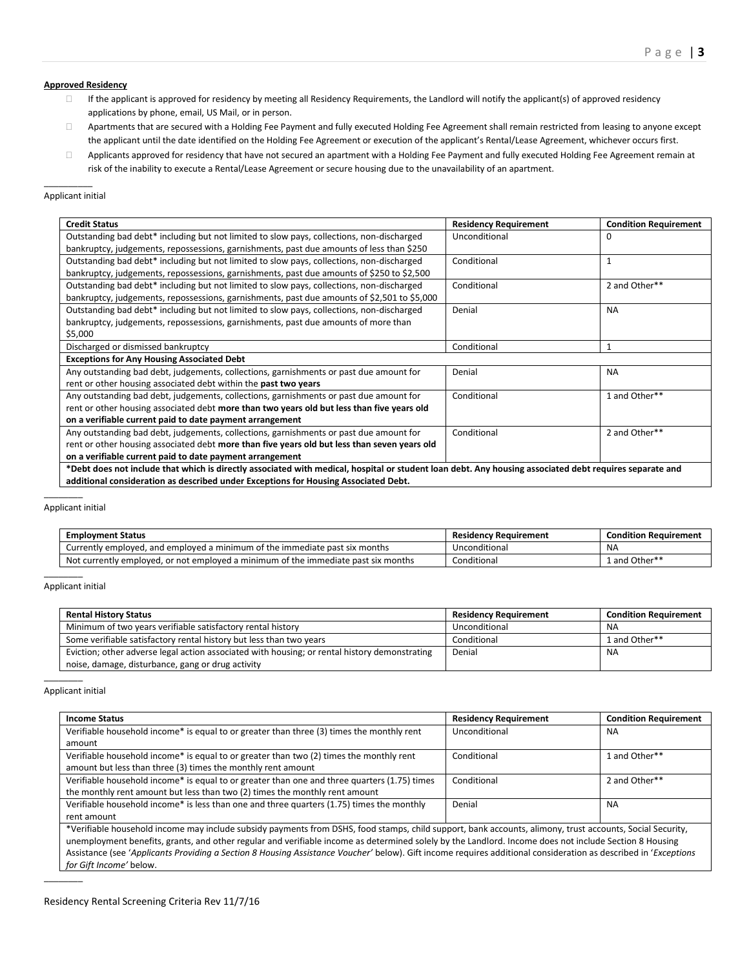## **Approved Residency**

- $\Box$  If the applicant is approved for residency by meeting all Residency Requirements, the Landlord will notify the applicant(s) of approved residency applications by phone, email, US Mail, or in person.
- Apartments that are secured with a Holding Fee Payment and fully executed Holding Fee Agreement shall remain restricted from leasing to anyone except the applicant until the date identified on the Holding Fee Agreement or execution of the applicant's Rental/Lease Agreement, whichever occurs first.
- Applicants approved for residency that have not secured an apartment with a Holding Fee Payment and fully executed Holding Fee Agreement remain at risk of the inability to execute a Rental/Lease Agreement or secure housing due to the unavailability of an apartment.

## $\mathcal{L}=\mathcal{L}$ Applicant initial

| <b>Residency Requirement</b> | <b>Condition Requirement</b> |
|------------------------------|------------------------------|
| Unconditional                | 0                            |
| Conditional                  | 1                            |
| Conditional                  | 2 and Other**                |
| Denial                       | <b>NA</b>                    |
| Conditional                  | $\mathbf{1}$                 |
|                              |                              |
| Denial                       | <b>NA</b>                    |
| Conditional                  | 1 and Other**                |
| Conditional                  | 2 and Other**                |
|                              |                              |

Applicant initial

| Currently employed, and employed a minimum of the immediate past six months<br><b>NA</b><br>Unconditional          | <b>Condition Requirement</b> |
|--------------------------------------------------------------------------------------------------------------------|------------------------------|
|                                                                                                                    |                              |
| Not currently employed, or not employed a minimum of the immediate past six months<br>Conditional<br>1 and Other** |                              |

#### Applicant initial

| <b>Rental History Status</b>                                                                  | <b>Residency Requirement</b> | <b>Condition Requirement</b> |
|-----------------------------------------------------------------------------------------------|------------------------------|------------------------------|
| Minimum of two years verifiable satisfactory rental history                                   | Unconditional                | <b>NA</b>                    |
| Some verifiable satisfactory rental history but less than two years                           | Conditional                  | 1 and Other**                |
| Eviction; other adverse legal action associated with housing; or rental history demonstrating | Denial                       | ΝA                           |
| noise, damage, disturbance, gang or drug activity                                             |                              |                              |

#### Applicant initial

 $\mathcal{L}=\mathcal{L}$ 

| <b>Income Status</b>                                                                                                                                            | <b>Residency Requirement</b> | <b>Condition Requirement</b> |
|-----------------------------------------------------------------------------------------------------------------------------------------------------------------|------------------------------|------------------------------|
| Verifiable household income* is equal to or greater than three (3) times the monthly rent                                                                       | Unconditional                | <b>NA</b>                    |
| amount                                                                                                                                                          |                              |                              |
| Verifiable household income* is equal to or greater than two (2) times the monthly rent                                                                         | Conditional                  | 1 and Other**                |
| amount but less than three (3) times the monthly rent amount                                                                                                    |                              |                              |
| Verifiable household income* is equal to or greater than one and three quarters (1.75) times                                                                    | Conditional                  | 2 and Other**                |
| the monthly rent amount but less than two (2) times the monthly rent amount                                                                                     |                              |                              |
| Verifiable household income* is less than one and three quarters (1.75) times the monthly                                                                       | Denial                       | <b>NA</b>                    |
| rent amount                                                                                                                                                     |                              |                              |
| *Verifiable household income may include subsidy payments from DSHS, food stamps, child support, bank accounts, alimony, trust accounts, Social Security,       |                              |                              |
| unemployment benefits, grants, and other regular and verifiable income as determined solely by the Landlord. Income does not include Section 8 Housing          |                              |                              |
| Assistance (see 'Applicants Providing a Section 8 Housing Assistance Voucher' below). Gift income requires additional consideration as described in 'Exceptions |                              |                              |
| for Gift Income' below.                                                                                                                                         |                              |                              |